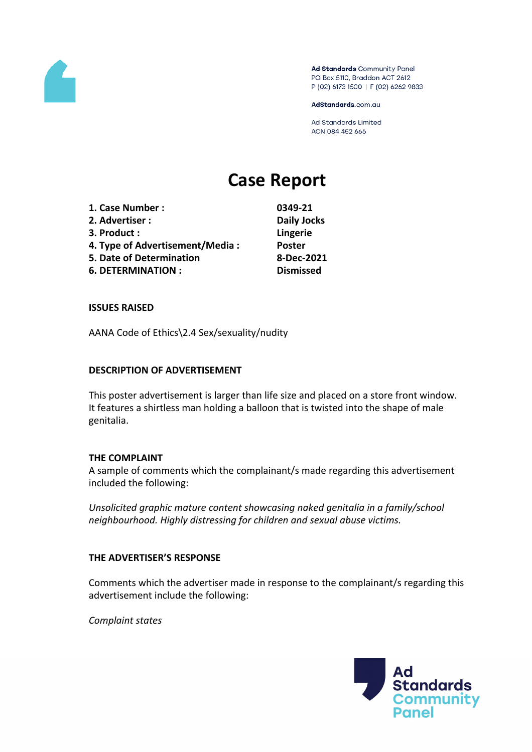

Ad Standards Community Panel PO Box 5110, Braddon ACT 2612 P (02) 6173 1500 | F (02) 6262 9833

AdStandards.com.au

Ad Standards Limited ACN 084 452 666

# **Case Report**

| 1. Case Number :                | 0349-21            |
|---------------------------------|--------------------|
| 2. Advertiser:                  | <b>Daily Jocks</b> |
| 3. Product:                     | Lingerie           |
| 4. Type of Advertisement/Media: | <b>Poster</b>      |
| 5. Date of Determination        | 8-Dec-2021         |
| <b>6. DETERMINATION:</b>        | <b>Dismissed</b>   |

#### **ISSUES RAISED**

AANA Code of Ethics\2.4 Sex/sexuality/nudity

## **DESCRIPTION OF ADVERTISEMENT**

This poster advertisement is larger than life size and placed on a store front window. It features a shirtless man holding a balloon that is twisted into the shape of male genitalia.

#### **THE COMPLAINT**

A sample of comments which the complainant/s made regarding this advertisement included the following:

*Unsolicited graphic mature content showcasing naked genitalia in a family/school neighbourhood. Highly distressing for children and sexual abuse victims.*

## **THE ADVERTISER'S RESPONSE**

Comments which the advertiser made in response to the complainant/s regarding this advertisement include the following:

*Complaint states*

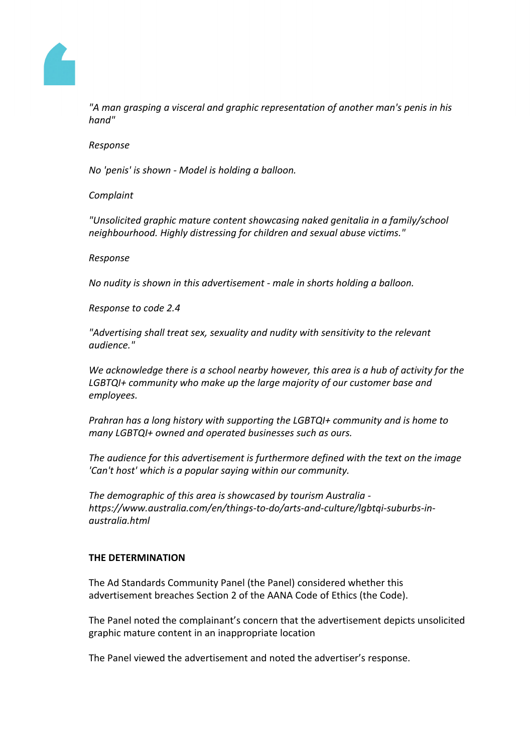

*"A man grasping a visceral and graphic representation of another man's penis in his hand"*

#### *Response*

*No 'penis' is shown - Model is holding a balloon.*

## *Complaint*

*"Unsolicited graphic mature content showcasing naked genitalia in a family/school neighbourhood. Highly distressing for children and sexual abuse victims."*

## *Response*

*No nudity is shown in this advertisement - male in shorts holding a balloon.*

*Response to code 2.4*

*"Advertising shall treat sex, sexuality and nudity with sensitivity to the relevant audience."*

*We acknowledge there is a school nearby however, this area is a hub of activity for the LGBTQI+ community who make up the large majority of our customer base and employees.*

*Prahran has a long history with supporting the LGBTQI+ community and is home to many LGBTQI+ owned and operated businesses such as ours.*

*The audience for this advertisement is furthermore defined with the text on the image 'Can't host' which is a popular saying within our community.*

*The demographic of this area is showcased by tourism Australia https://www.australia.com/en/things-to-do/arts-and-culture/lgbtqi-suburbs-inaustralia.html*

## **THE DETERMINATION**

The Ad Standards Community Panel (the Panel) considered whether this advertisement breaches Section 2 of the AANA Code of Ethics (the Code).

The Panel noted the complainant's concern that the advertisement depicts unsolicited graphic mature content in an inappropriate location

The Panel viewed the advertisement and noted the advertiser's response.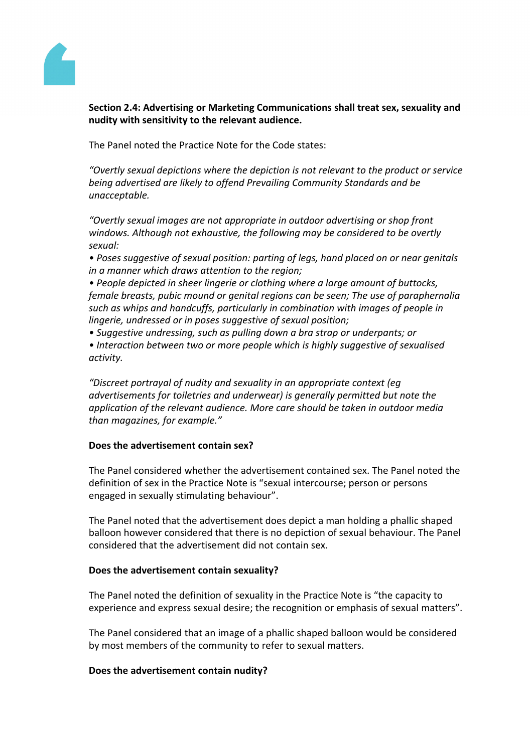

**Section 2.4: Advertising or Marketing Communications shall treat sex, sexuality and nudity with sensitivity to the relevant audience.**

The Panel noted the Practice Note for the Code states:

*"Overtly sexual depictions where the depiction is not relevant to the product or service being advertised are likely to offend Prevailing Community Standards and be unacceptable.*

*"Overtly sexual images are not appropriate in outdoor advertising or shop front windows. Although not exhaustive, the following may be considered to be overtly sexual:*

*• Poses suggestive of sexual position: parting of legs, hand placed on or near genitals in a manner which draws attention to the region;*

*• People depicted in sheer lingerie or clothing where a large amount of buttocks, female breasts, pubic mound or genital regions can be seen; The use of paraphernalia such as whips and handcuffs, particularly in combination with images of people in lingerie, undressed or in poses suggestive of sexual position;*

*• Suggestive undressing, such as pulling down a bra strap or underpants; or • Interaction between two or more people which is highly suggestive of sexualised activity.*

*"Discreet portrayal of nudity and sexuality in an appropriate context (eg advertisements for toiletries and underwear) is generally permitted but note the application of the relevant audience. More care should be taken in outdoor media than magazines, for example."*

## **Does the advertisement contain sex?**

The Panel considered whether the advertisement contained sex. The Panel noted the definition of sex in the Practice Note is "sexual intercourse; person or persons engaged in sexually stimulating behaviour".

The Panel noted that the advertisement does depict a man holding a phallic shaped balloon however considered that there is no depiction of sexual behaviour. The Panel considered that the advertisement did not contain sex.

#### **Does the advertisement contain sexuality?**

The Panel noted the definition of sexuality in the Practice Note is "the capacity to experience and express sexual desire; the recognition or emphasis of sexual matters".

The Panel considered that an image of a phallic shaped balloon would be considered by most members of the community to refer to sexual matters.

## **Does the advertisement contain nudity?**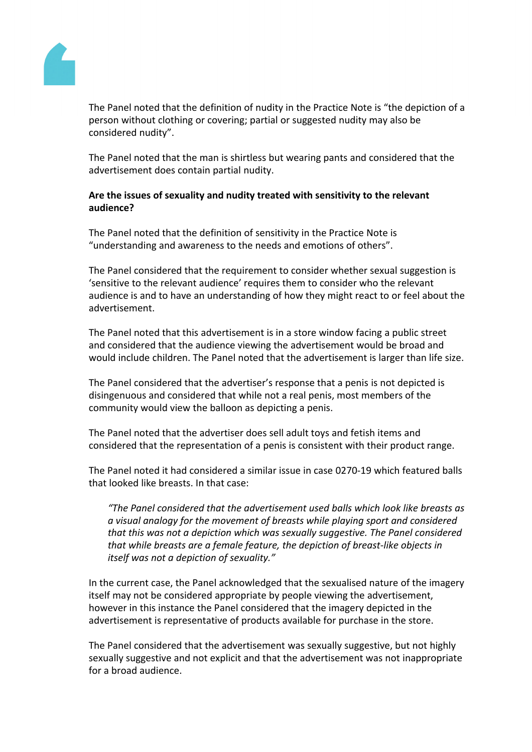

The Panel noted that the definition of nudity in the Practice Note is "the depiction of a person without clothing or covering; partial or suggested nudity may also be considered nudity".

The Panel noted that the man is shirtless but wearing pants and considered that the advertisement does contain partial nudity.

## **Are the issues of sexuality and nudity treated with sensitivity to the relevant audience?**

The Panel noted that the definition of sensitivity in the Practice Note is "understanding and awareness to the needs and emotions of others".

The Panel considered that the requirement to consider whether sexual suggestion is 'sensitive to the relevant audience' requires them to consider who the relevant audience is and to have an understanding of how they might react to or feel about the advertisement.

The Panel noted that this advertisement is in a store window facing a public street and considered that the audience viewing the advertisement would be broad and would include children. The Panel noted that the advertisement is larger than life size.

The Panel considered that the advertiser's response that a penis is not depicted is disingenuous and considered that while not a real penis, most members of the community would view the balloon as depicting a penis.

The Panel noted that the advertiser does sell adult toys and fetish items and considered that the representation of a penis is consistent with their product range.

The Panel noted it had considered a similar issue in case 0270-19 which featured balls that looked like breasts. In that case:

*"The Panel considered that the advertisement used balls which look like breasts as a visual analogy for the movement of breasts while playing sport and considered that this was not a depiction which was sexually suggestive. The Panel considered that while breasts are a female feature, the depiction of breast-like objects in itself was not a depiction of sexuality."*

In the current case, the Panel acknowledged that the sexualised nature of the imagery itself may not be considered appropriate by people viewing the advertisement, however in this instance the Panel considered that the imagery depicted in the advertisement is representative of products available for purchase in the store.

The Panel considered that the advertisement was sexually suggestive, but not highly sexually suggestive and not explicit and that the advertisement was not inappropriate for a broad audience.